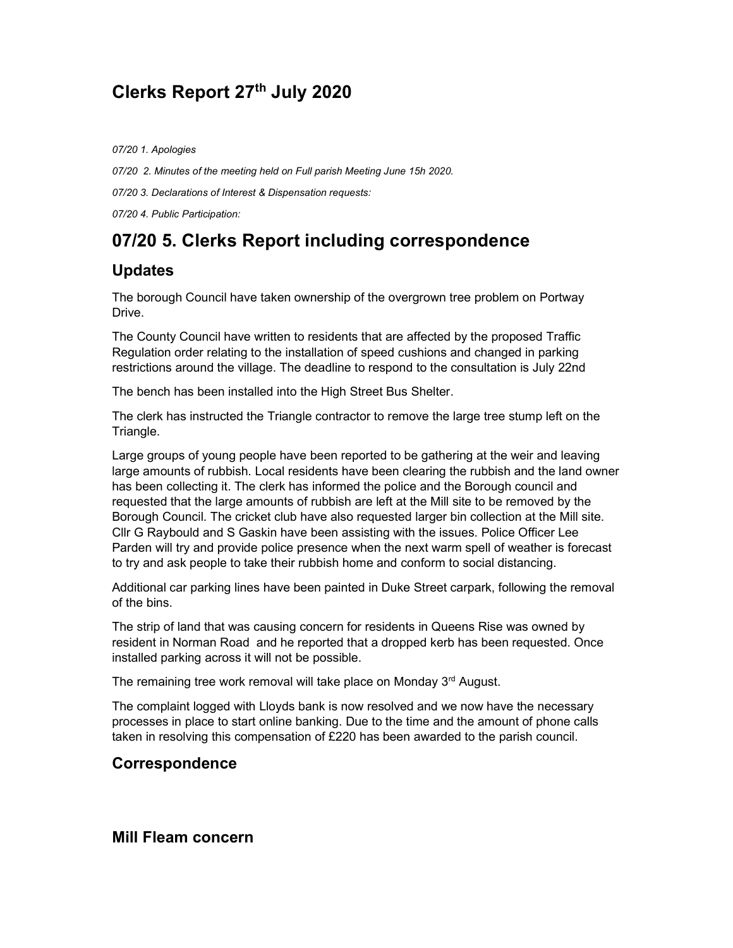# Clerks Report 27th July 2020

07/20 1. Apologies

07/20 2. Minutes of the meeting held on Full parish Meeting June 15h 2020.

07/20 3. Declarations of Interest & Dispensation requests:

07/20 4. Public Participation:

# 07/20 5. Clerks Report including correspondence

### Updates

The borough Council have taken ownership of the overgrown tree problem on Portway Drive.

The County Council have written to residents that are affected by the proposed Traffic Regulation order relating to the installation of speed cushions and changed in parking restrictions around the village. The deadline to respond to the consultation is July 22nd

The bench has been installed into the High Street Bus Shelter.

The clerk has instructed the Triangle contractor to remove the large tree stump left on the Triangle.

Large groups of young people have been reported to be gathering at the weir and leaving large amounts of rubbish. Local residents have been clearing the rubbish and the land owner has been collecting it. The clerk has informed the police and the Borough council and requested that the large amounts of rubbish are left at the Mill site to be removed by the Borough Council. The cricket club have also requested larger bin collection at the Mill site. Cllr G Raybould and S Gaskin have been assisting with the issues. Police Officer Lee Parden will try and provide police presence when the next warm spell of weather is forecast to try and ask people to take their rubbish home and conform to social distancing.

Additional car parking lines have been painted in Duke Street carpark, following the removal of the bins.

The strip of land that was causing concern for residents in Queens Rise was owned by resident in Norman Road and he reported that a dropped kerb has been requested. Once installed parking across it will not be possible.

The remaining tree work removal will take place on Monday 3<sup>rd</sup> August.

The complaint logged with Lloyds bank is now resolved and we now have the necessary processes in place to start online banking. Due to the time and the amount of phone calls taken in resolving this compensation of £220 has been awarded to the parish council.

#### Correspondence

Mill Fleam concern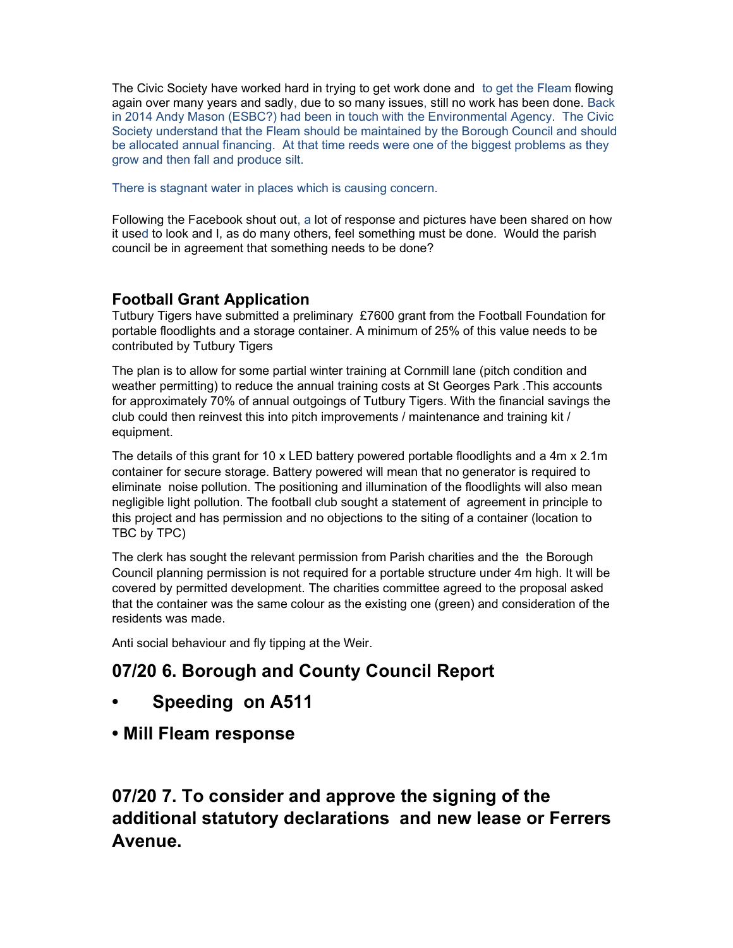The Civic Society have worked hard in trying to get work done and to get the Fleam flowing again over many years and sadly, due to so many issues, still no work has been done. Back in 2014 Andy Mason (ESBC?) had been in touch with the Environmental Agency. The Civic Society understand that the Fleam should be maintained by the Borough Council and should be allocated annual financing. At that time reeds were one of the biggest problems as they grow and then fall and produce silt.

There is stagnant water in places which is causing concern.

Following the Facebook shout out, a lot of response and pictures have been shared on how it used to look and I, as do many others, feel something must be done. Would the parish council be in agreement that something needs to be done?

### Football Grant Application

Tutbury Tigers have submitted a preliminary £7600 grant from the Football Foundation for portable floodlights and a storage container. A minimum of 25% of this value needs to be contributed by Tutbury Tigers

The plan is to allow for some partial winter training at Cornmill lane (pitch condition and weather permitting) to reduce the annual training costs at St Georges Park .This accounts for approximately 70% of annual outgoings of Tutbury Tigers. With the financial savings the club could then reinvest this into pitch improvements / maintenance and training kit / equipment.

The details of this grant for 10 x LED battery powered portable floodlights and a 4m x 2.1m container for secure storage. Battery powered will mean that no generator is required to eliminate noise pollution. The positioning and illumination of the floodlights will also mean negligible light pollution. The football club sought a statement of agreement in principle to this project and has permission and no objections to the siting of a container (location to TBC by TPC)

The clerk has sought the relevant permission from Parish charities and the the Borough Council planning permission is not required for a portable structure under 4m high. It will be covered by permitted development. The charities committee agreed to the proposal asked that the container was the same colour as the existing one (green) and consideration of the residents was made.

Anti social behaviour and fly tipping at the Weir.

# 07/20 6. Borough and County Council Report

- Speeding on A511
- Mill Fleam response

07/20 7. To consider and approve the signing of the additional statutory declarations and new lease or Ferrers Avenue.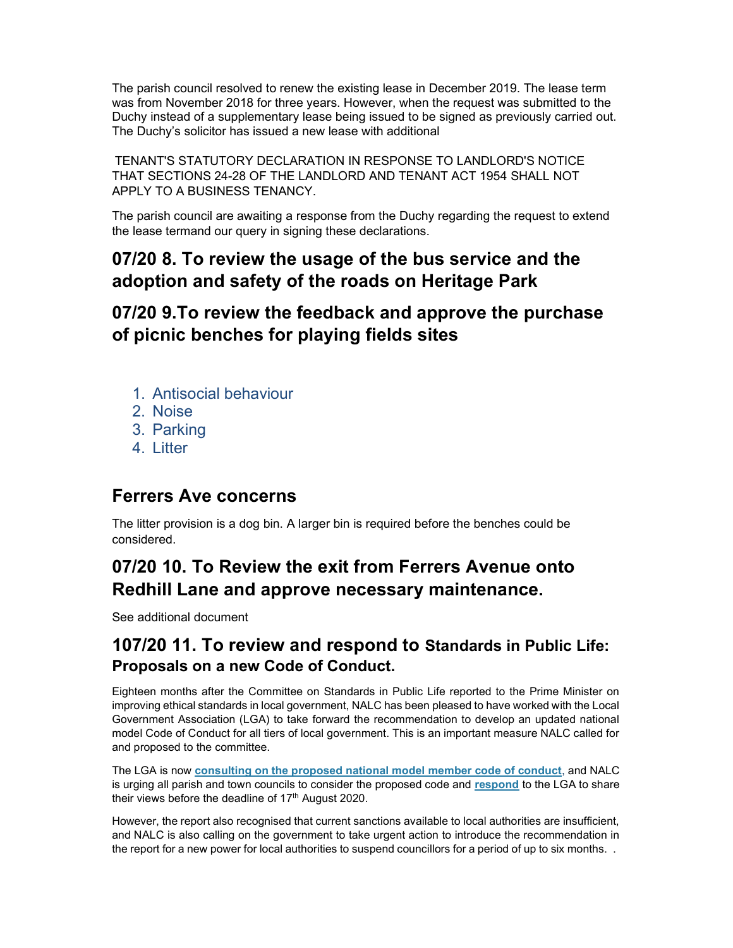The parish council resolved to renew the existing lease in December 2019. The lease term was from November 2018 for three years. However, when the request was submitted to the Duchy instead of a supplementary lease being issued to be signed as previously carried out. The Duchy's solicitor has issued a new lease with additional

TENANT'S STATUTORY DECLARATION IN RESPONSE TO LANDLORD'S NOTICE THAT SECTIONS 24-28 OF THE LANDLORD AND TENANT ACT 1954 SHALL NOT APPLY TO A BUSINESS TENANCY.

The parish council are awaiting a response from the Duchy regarding the request to extend the lease termand our query in signing these declarations.

## 07/20 8. To review the usage of the bus service and the adoption and safety of the roads on Heritage Park

## 07/20 9.To review the feedback and approve the purchase of picnic benches for playing fields sites

- 1. Antisocial behaviour
- 2. Noise
- 3. Parking
- 4. Litter

### Ferrers Ave concerns

The litter provision is a dog bin. A larger bin is required before the benches could be considered.

# 07/20 10. To Review the exit from Ferrers Avenue onto Redhill Lane and approve necessary maintenance.

See additional document

### 107/20 11. To review and respond to Standards in Public Life: Proposals on a new Code of Conduct.

Eighteen months after the Committee on Standards in Public Life reported to the Prime Minister on improving ethical standards in local government, NALC has been pleased to have worked with the Local Government Association (LGA) to take forward the recommendation to develop an updated national model Code of Conduct for all tiers of local government. This is an important measure NALC called for and proposed to the committee.

The LGA is now **consulting on the proposed national model member code of conduct**, and NALC is urging all parish and town councils to consider the proposed code and respond to the LGA to share their views before the deadline of  $17<sup>th</sup>$  August 2020.

However, the report also recognised that current sanctions available to local authorities are insufficient, and NALC is also calling on the government to take urgent action to introduce the recommendation in the report for a new power for local authorities to suspend councillors for a period of up to six months. .